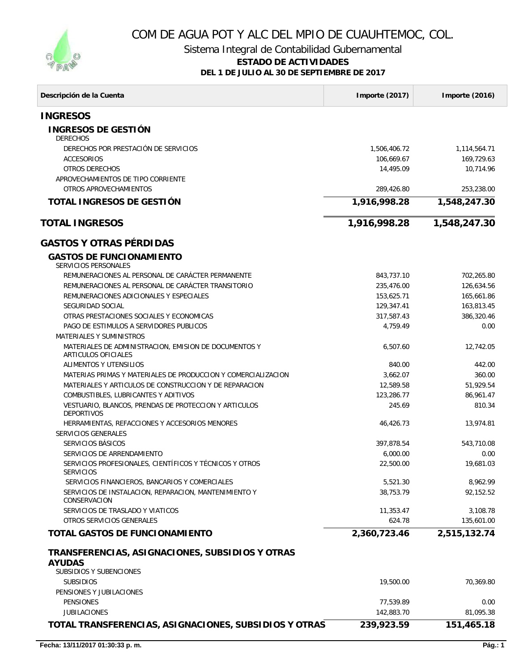

# COM DE AGUA POT Y ALC DEL MPIO DE CUAUHTEMOC, COL.

Sistema Integral de Contabilidad Gubernamental

#### **ESTADO DE ACTIVIDADES**

**DEL 1 DE JULIO AL 30 DE SEPTIEMBRE DE 2017**

| Descripción de la Cuenta                                                                           | Importe (2017)          | Importe (2016)         |
|----------------------------------------------------------------------------------------------------|-------------------------|------------------------|
| <b>INGRESOS</b>                                                                                    |                         |                        |
| <b>INGRESOS DE GESTIÓN</b><br><b>DERECHOS</b>                                                      |                         |                        |
| DERECHOS POR PRESTACIÓN DE SERVICIOS                                                               | 1,506,406.72            | 1,114,564.71           |
| <b>ACCESORIOS</b>                                                                                  | 106,669.67              | 169,729.63             |
| OTROS DERECHOS                                                                                     | 14,495.09               | 10,714.96              |
| APROVECHAMIENTOS DE TIPO CORRIENTE                                                                 |                         |                        |
| OTROS APROVECHAMIENTOS                                                                             | 289,426.80              | 253,238.00             |
| TOTAL INGRESOS DE GESTIÓN                                                                          | 1,916,998.28            | 1,548,247.30           |
| <b>TOTAL INGRESOS</b>                                                                              | 1,916,998.28            | 1,548,247.30           |
| <b>GASTOS Y OTRAS PÉRDIDAS</b>                                                                     |                         |                        |
| <b>GASTOS DE FUNCIONAMIENTO</b><br><b>SERVICIOS PERSONALES</b>                                     |                         |                        |
| REMUNERACIONES AL PERSONAL DE CARÁCTER PERMANENTE                                                  | 843,737.10              | 702,265.80             |
| REMUNERACIONES AL PERSONAL DE CARÁCTER TRANSITORIO                                                 | 235,476.00              | 126,634.56             |
| REMUNERACIONES ADICIONALES Y ESPECIALES                                                            | 153,625.71              | 165,661.86             |
| SEGURIDAD SOCIAL                                                                                   | 129,347.41              | 163,813.45             |
| OTRAS PRESTACIONES SOCIALES Y ECONOMICAS                                                           | 317,587.43              | 386,320.46             |
| PAGO DE ESTIMULOS A SERVIDORES PUBLICOS                                                            | 4,759.49                | 0.00                   |
| <b>MATERIALES Y SUMINISTROS</b>                                                                    |                         |                        |
| MATERIALES DE ADMINISTRACION, EMISION DE DOCUMENTOS Y<br>ARTICULOS OFICIALES                       | 6,507.60                | 12,742.05              |
| ALIMENTOS Y UTENSILIOS                                                                             | 840.00                  | 442.00                 |
| MATERIAS PRIMAS Y MATERIALES DE PRODUCCION Y COMERCIALIZACION                                      | 3,662.07                | 360.00                 |
| MATERIALES Y ARTICULOS DE CONSTRUCCION Y DE REPARACION<br>COMBUSTIBLES, LUBRICANTES Y ADITIVOS     | 12,589.58<br>123,286.77 | 51,929.54<br>86,961.47 |
| VESTUARIO, BLANCOS, PRENDAS DE PROTECCION Y ARTICULOS                                              | 245.69                  | 810.34                 |
| <b>DEPORTIVOS</b>                                                                                  |                         |                        |
| HERRAMIENTAS, REFACCIONES Y ACCESORIOS MENORES                                                     | 46,426.73               | 13,974.81              |
| <b>SERVICIOS GENERALES</b>                                                                         |                         |                        |
| SERVICIOS BÁSICOS                                                                                  | 397,878.54              | 543,710.08             |
| SERVICIOS DE ARRENDAMIENTO                                                                         | 6,000.00                | 0.00                   |
| SERVICIOS PROFESIONALES, CIENTÍFICOS Y TÉCNICOS Y OTROS<br><b>SERVICIOS</b>                        | 22,500.00               | 19,681.03              |
| SERVICIOS FINANCIEROS, BANCARIOS Y COMERCIALES                                                     | 5,521.30                | 8,962.99               |
| SERVICIOS DE INSTALACION, REPARACION, MANTENIMIENTO Y<br>CONSERVACION                              | 38.753.79               | 92.152.52              |
| SERVICIOS DE TRASLADO Y VIATICOS                                                                   | 11,353.47               | 3,108.78               |
| OTROS SERVICIOS GENERALES                                                                          | 624.78                  | 135,601.00             |
| TOTAL GASTOS DE FUNCIONAMIENTO                                                                     | 2,360,723.46            | 2,515,132.74           |
| TRANSFERENCIAS, ASIGNACIONES, SUBSIDIOS Y OTRAS<br><b>AYUDAS</b><br><b>SUBSIDIOS Y SUBENCIONES</b> |                         |                        |
| <b>SUBSIDIOS</b>                                                                                   | 19,500.00               | 70,369.80              |
| PENSIONES Y JUBILACIONES                                                                           |                         |                        |
| PENSIONES                                                                                          | 77,539.89               | 0.00                   |
| <b>JUBILACIONES</b>                                                                                | 142,883.70              | 81,095.38              |
| TOTAL TRANSFERENCIAS, ASIGNACIONES, SUBSIDIOS Y OTRAS                                              | 239,923.59              | 151,465.18             |